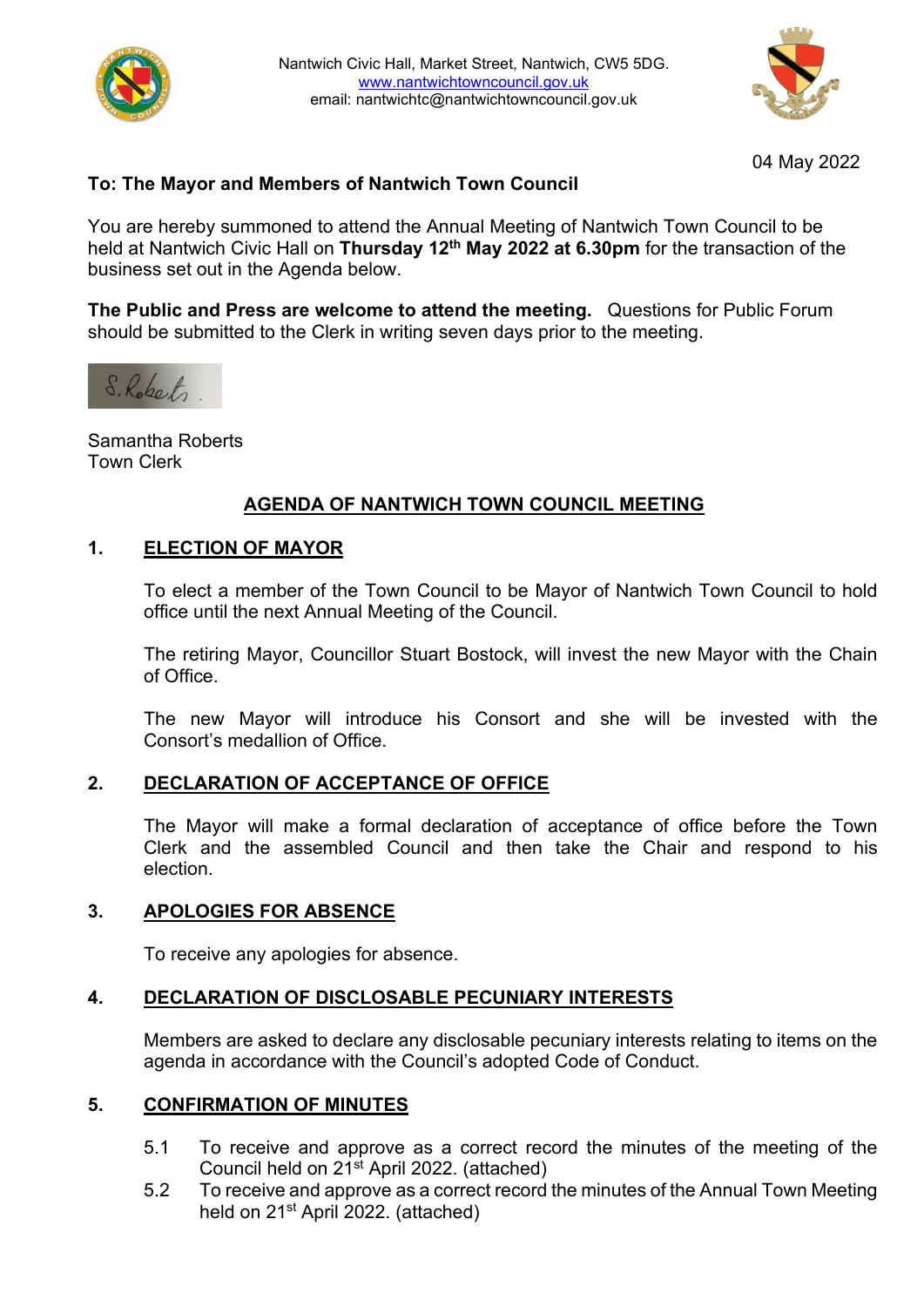



04 May 2022

# **To: The Mayor and Members of Nantwich Town Council**

You are hereby summoned to attend the Annual Meeting of Nantwich Town Council to be held at Nantwich Civic Hall on **Thursday 12th May 2022 at 6.30pm** for the transaction of the business set out in the Agenda below.

**The Public and Press are welcome to attend the meeting.** Questions for Public Forum should be submitted to the Clerk in writing seven days prior to the meeting.

S. Roberts

Samantha Roberts Town Clerk

# **AGENDA OF NANTWICH TOWN COUNCIL MEETING**

#### **1. ELECTION OF MAYOR**

To elect a member of the Town Council to be Mayor of Nantwich Town Council to hold office until the next Annual Meeting of the Council.

The retiring Mayor, Councillor Stuart Bostock, will invest the new Mayor with the Chain of Office.

The new Mayor will introduce his Consort and she will be invested with the Consort's medallion of Office.

# **2. DECLARATION OF ACCEPTANCE OF OFFICE**

The Mayor will make a formal declaration of acceptance of office before the Town Clerk and the assembled Council and then take the Chair and respond to his election.

# **3. APOLOGIES FOR ABSENCE**

To receive any apologies for absence.

#### **4. DECLARATION OF DISCLOSABLE PECUNIARY INTERESTS**

Members are asked to declare any disclosable pecuniary interests relating to items on the agenda in accordance with the Council's adopted Code of Conduct.

#### **5. CONFIRMATION OF MINUTES**

- 5.1 To receive and approve as a correct record the minutes of the meeting of the Council held on 21<sup>st</sup> April 2022. (attached)
- 5.2 To receive and approve as a correct record the minutes of the Annual Town Meeting held on 21st April 2022. (attached)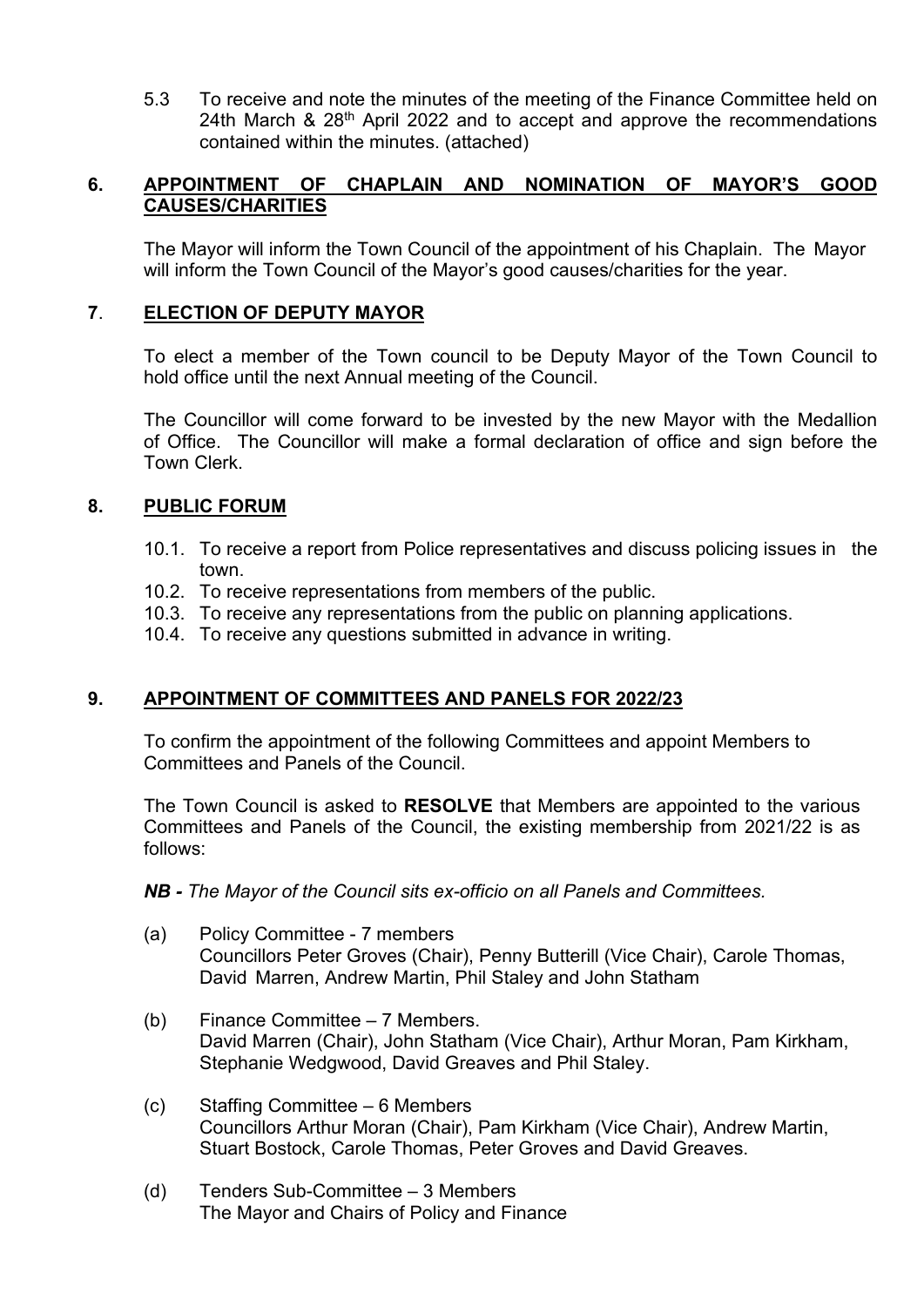5.3 To receive and note the minutes of the meeting of the Finance Committee held on 24th March & 28<sup>th</sup> April 2022 and to accept and approve the recommendations contained within the minutes. (attached)

## **6. APPOINTMENT OF CHAPLAIN AND NOMINATION OF MAYOR'S GOOD CAUSES/CHARITIES**

The Mayor will inform the Town Council of the appointment of his Chaplain. The Mayor will inform the Town Council of the Mayor's good causes/charities for the year.

### **7**. **ELECTION OF DEPUTY MAYOR**

To elect a member of the Town council to be Deputy Mayor of the Town Council to hold office until the next Annual meeting of the Council.

The Councillor will come forward to be invested by the new Mayor with the Medallion of Office. The Councillor will make a formal declaration of office and sign before the Town Clerk.

## **8. PUBLIC FORUM**

- 10.1. To receive a report from Police representatives and discuss policing issues in the town.
- 10.2. To receive representations from members of the public.
- 10.3. To receive any representations from the public on planning applications.
- 10.4. To receive any questions submitted in advance in writing.

# **9. APPOINTMENT OF COMMITTEES AND PANELS FOR 2022/23**

To confirm the appointment of the following Committees and appoint Members to Committees and Panels of the Council.

The Town Council is asked to **RESOLVE** that Members are appointed to the various Committees and Panels of the Council, the existing membership from 2021/22 is as follows:

#### *NB - The Mayor of the Council sits ex-officio on all Panels and Committees.*

- (a) Policy Committee 7 members Councillors Peter Groves (Chair), Penny Butterill (Vice Chair), Carole Thomas, David Marren, Andrew Martin, Phil Staley and John Statham
- (b) Finance Committee 7 Members. David Marren (Chair), John Statham (Vice Chair), Arthur Moran, Pam Kirkham, Stephanie Wedgwood, David Greaves and Phil Staley.
- (c) Staffing Committee 6 Members Councillors Arthur Moran (Chair), Pam Kirkham (Vice Chair), Andrew Martin, Stuart Bostock, Carole Thomas, Peter Groves and David Greaves.
- (d) Tenders Sub-Committee 3 Members The Mayor and Chairs of Policy and Finance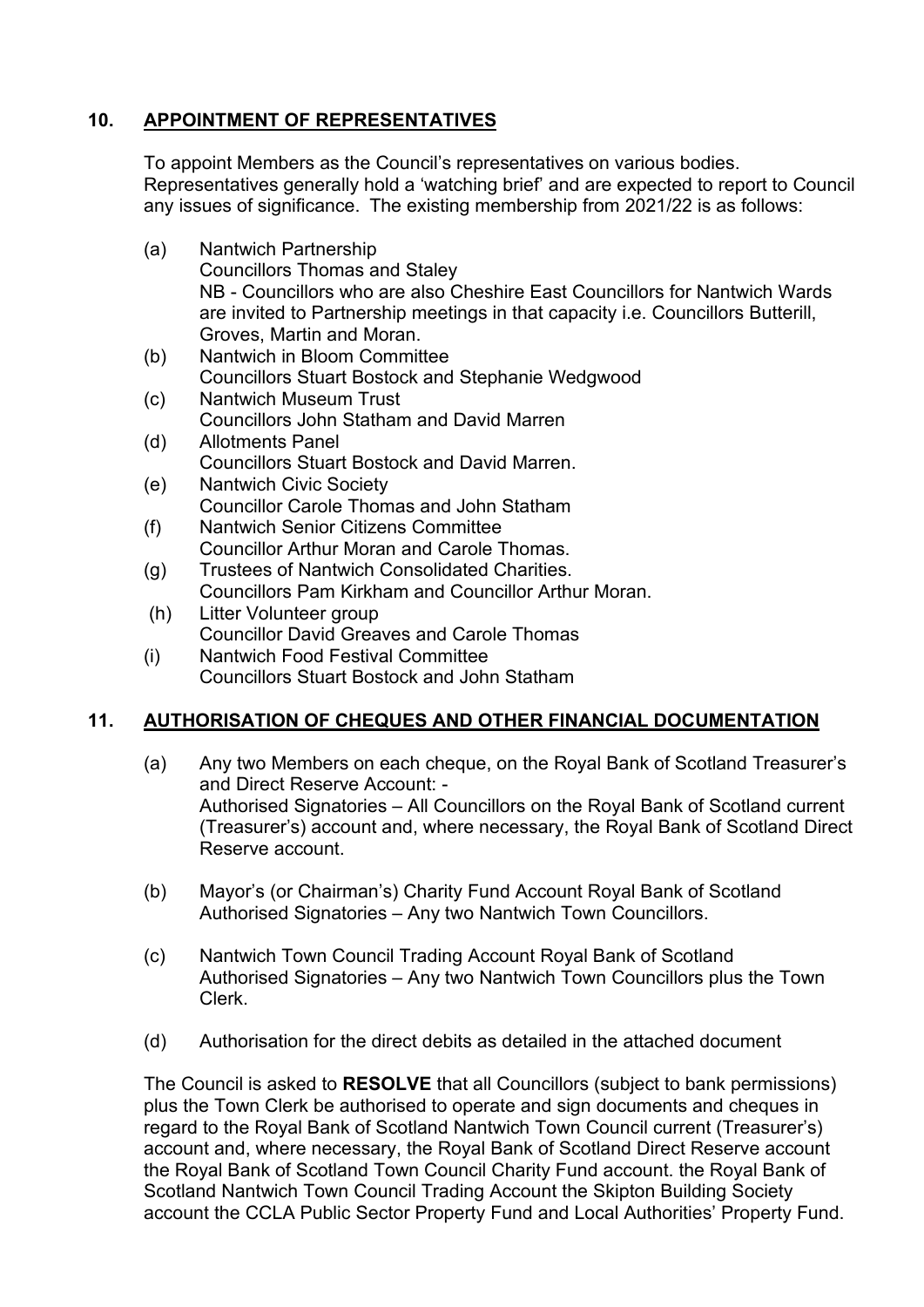# **10. APPOINTMENT OF REPRESENTATIVES**

To appoint Members as the Council's representatives on various bodies. Representatives generally hold a 'watching brief' and are expected to report to Council any issues of significance. The existing membership from 2021/22 is as follows:

- (a) Nantwich Partnership Councillors Thomas and Staley NB - Councillors who are also Cheshire East Councillors for Nantwich Wards are invited to Partnership meetings in that capacity i.e. Councillors Butterill, Groves, Martin and Moran.
- (b) Nantwich in Bloom Committee Councillors Stuart Bostock and Stephanie Wedgwood
- (c) Nantwich Museum Trust Councillors John Statham and David Marren
- (d) Allotments Panel Councillors Stuart Bostock and David Marren.
- (e) Nantwich Civic Society Councillor Carole Thomas and John Statham
- (f) Nantwich Senior Citizens Committee Councillor Arthur Moran and Carole Thomas.
- (g) Trustees of Nantwich Consolidated Charities. Councillors Pam Kirkham and Councillor Arthur Moran.
- (h) Litter Volunteer group Councillor David Greaves and Carole Thomas
- (i) Nantwich Food Festival Committee Councillors Stuart Bostock and John Statham

# **11. AUTHORISATION OF CHEQUES AND OTHER FINANCIAL DOCUMENTATION**

- (a) Any two Members on each cheque, on the Royal Bank of Scotland Treasurer's and Direct Reserve Account: - Authorised Signatories – All Councillors on the Royal Bank of Scotland current (Treasurer's) account and, where necessary, the Royal Bank of Scotland Direct Reserve account.
- (b) Mayor's (or Chairman's) Charity Fund Account Royal Bank of Scotland Authorised Signatories – Any two Nantwich Town Councillors.
- (c) Nantwich Town Council Trading Account Royal Bank of Scotland Authorised Signatories – Any two Nantwich Town Councillors plus the Town Clerk.
- (d) Authorisation for the direct debits as detailed in the attached document

The Council is asked to **RESOLVE** that all Councillors (subject to bank permissions) plus the Town Clerk be authorised to operate and sign documents and cheques in regard to the Royal Bank of Scotland Nantwich Town Council current (Treasurer's) account and, where necessary, the Royal Bank of Scotland Direct Reserve account the Royal Bank of Scotland Town Council Charity Fund account. the Royal Bank of Scotland Nantwich Town Council Trading Account the Skipton Building Society account the CCLA Public Sector Property Fund and Local Authorities' Property Fund.